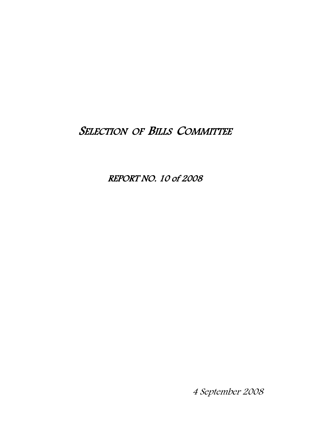# SELECTION OF BILLS COMMITTEE

REPORT NO. 10 of 2008

4 September 2008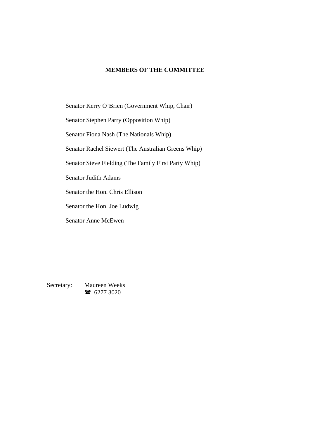# **MEMBERS OF THE COMMITTEE**

Senator Kerry O'Brien (Government Whip, Chair)

Senator Stephen Parry (Opposition Whip)

Senator Fiona Nash (The Nationals Whip)

Senator Rachel Siewert (The Australian Greens Whip)

Senator Steve Fielding (The Family First Party Whip)

Senator Judith Adams

Senator the Hon. Chris Ellison

Senator the Hon. Joe Ludwig

Senator Anne McEwen

Secretary: Maureen Weeks 16277 3020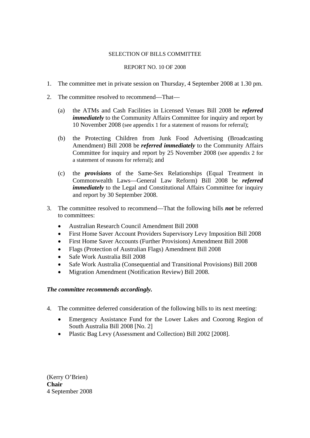# SELECTION OF BILLS COMMITTEE

# REPORT NO. 10 OF 2008

- 1. The committee met in private session on Thursday, 4 September 2008 at 1.30 pm.
- 2. The committee resolved to recommend—That—
	- (a) the ATMs and Cash Facilities in Licensed Venues Bill 2008 be *referred immediately* to the Community Affairs Committee for inquiry and report by 10 November 2008 (see appendix 1 for a statement of reasons for referral);
	- (b) the Protecting Children from Junk Food Advertising (Broadcasting Amendment) Bill 2008 be *referred immediately* to the Community Affairs Committee for inquiry and report by 25 November 2008 (see appendix 2 for a statement of reasons for referral); and
	- (c) the *provisions* of the Same-Sex Relationships (Equal Treatment in Commonwealth Laws—General Law Reform) Bill 2008 be *referred immediately* to the Legal and Constitutional Affairs Committee for inquiry and report by 30 September 2008.
- 3. The committee resolved to recommend—That the following bills *not* be referred to committees:
	- Australian Research Council Amendment Bill 2008
	- First Home Saver Account Providers Supervisory Levy Imposition Bill 2008
	- First Home Saver Accounts (Further Provisions) Amendment Bill 2008
	- Flags (Protection of Australian Flags) Amendment Bill 2008
	- Safe Work Australia Bill 2008
	- Safe Work Australia (Consequential and Transitional Provisions) Bill 2008
	- Migration Amendment (Notification Review) Bill 2008.

# *The committee recommends accordingly.*

- 4. The committee deferred consideration of the following bills to its next meeting:
	- Emergency Assistance Fund for the Lower Lakes and Coorong Region of South Australia Bill 2008 [No. 2]
	- Plastic Bag Levy (Assessment and Collection) Bill 2002 [2008].

(Kerry O'Brien) **Chair** 4 September 2008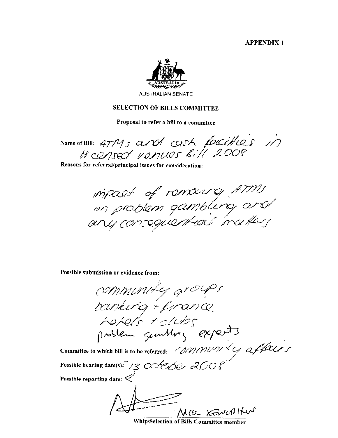**APPENDIX1** 



## **SELECTION OF BILLS COMMITTEE**

Proposal to refer a bill to a committee

Name of Bill: 47M5 and OSh facities 11 Li censed nenues Bill 2008

Reasons for referral/principal issues for consideration:

inpact of remaing ATMs<br>on problem gambling and

Possible submission or evidence from:

community groups banking + firance hotels + clubs<br>prodem sunthong experts Committee to which bill is to be referred: (OMMUMLY affairs Possible hearing date(s): 13 00/060 2008 Possible reporting date:  $\mathcal C$ Mac KENNIKN

Whip/Selection of Bills Committee member